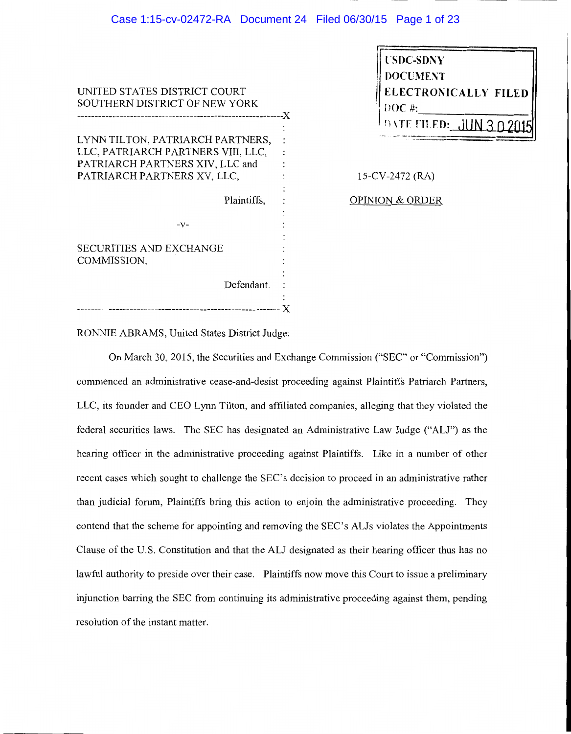## Case 1:15-cv-02472-RA Document 24 Filed 06/30/15 Page 1 of 23

UNITED STATES DISTRICT COURT SOUTHERN DISTRICT OF NEW YORK -----------------------------------------------------------)( LYNN TILTON, PATRIARCH PARTNERS, LLC, PATRIARCH PARTNERS VIII, LLC,  $\ddot{\cdot}$ PATRIARCH PARTNERS XIV, LLC and  $\mathbf{r}$ PATRIARCH PARTNERS XV, LLC, Plaintiffs,  $\ddot{\cdot}$  $\ddot{\cdot}$  $-V -$ SECURITIES AND EXCHANGE COMMISSION, Defendant. : ---------------------------------------------------------- *)(* 

| <b>USDC-SDNY</b>        |
|-------------------------|
| <b>DOCUMENT</b>         |
| ELECTRONICALLY FILED    |
| $120C \#$               |
| DATE FILED: JUN 3 0 201 |
|                         |

15-CV-2472 (RA)

OPINION & ORDER

RONNIE ABRAMS, United States District Judge:

On March 30, 2015, the Securities and Exchange Commission ("SEC" or "Commission") commenced an administrative cease-and-desist proceeding against Plaintiffs Patriarch Partners, LLC, its founder and CEO Lynn Tilton, and affiliated companies, alleging that they violated the federal securities laws. The SEC has designated an Administrative Law Judge ("ALJ") as the hearing officer in the administrative proceeding against Plaintiffs. Like in a number of other recent cases which sought to challenge the SEC's decision to proceed in an administrative rather than judicial forum, Plaintiffs bring this action to enjoin the administrative proceeding. They contend that the scheme for appointing and removing the SEC's ALJs violates the Appointments Clause of the U.S. Constitution and that the ALJ designated as their hearing officer thus has no lawful authority to preside over their case. Plaintiffs now move this Court to issue a preliminary injunction barring the SEC from continuing its administrative proceeding against them, pending resolution of the instant matter.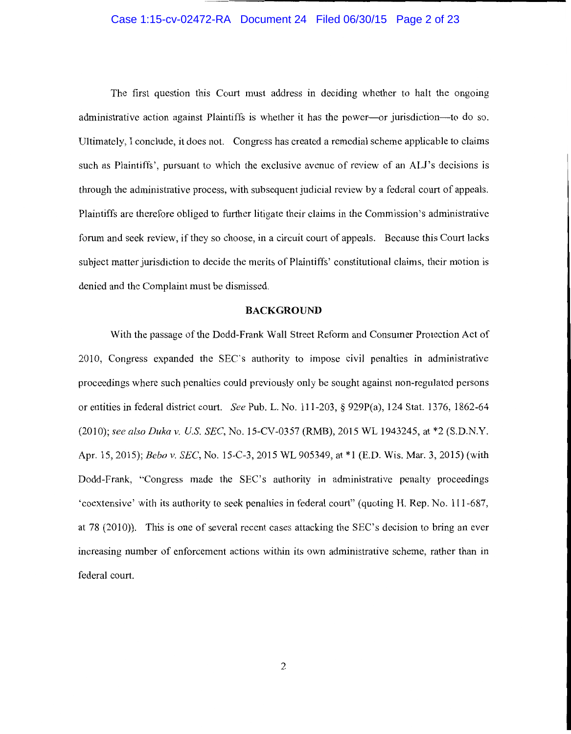## Case 1:15-cv-02472-RA Document 24 Filed 06/30/15 Page 2 of 23

The first question this Court must address in deciding whether to halt the ongoing administrative action against Plaintiffs is whether it has the power-or jurisdiction-to do so. Ultimately, I conclude, it does not. Congress has created a remedial scheme applicable to claims such as Plaintiffs', pursuant to which the exclusive avenue of review of an ALJ's decisions is through the administrative process, with subsequent judicial review by a federal court of appeals. Plaintiffs are therefore obliged to further litigate their claims in the Commission's administrative forum and seek review, if they so choose, in a circuit court of appeals. Because this Court lacks subject matter jurisdiction to decide the merits of Plaintiffs' constitutional claims, their motion is denied and the Complaint must be dismissed.

#### **BACKGROUND**

With the passage of the Dodd-Frank Wall Street Reform and Consumer Protection Act of 2010, Congress expanded the SEC's authority to impose civil penalties in administrative proceedings where such penalties could previously only be sought against non-regulated persons or entities in federal district court. *See* Pub. L. No. 111-203, § 929P(a), 124 Stat. 1376, 1862-64 (2010); *see also Duka v. US. SEC,* No. 15-CV-0357 (RMB), 2015 WL 1943245, at \*2 (S.D.N.Y. Apr. 15, 2015); *Bebo v. SEC,* No. 15-C-3, 2015 WL 905349, at \*1 (E.D. Wis. Mar. 3, 2015) (with Dodd-Frank, "Congress made the SEC's authority in administrative penalty proceedings 'coextensive' with its authority to seek penalties in federal court" (quoting H. Rep. No. 111-687, at 78 (2010)). This is one of several recent cases attacking the SEC's decision to bring an ever increasing number of enforcement actions within its own administrative scheme, rather than in federal court.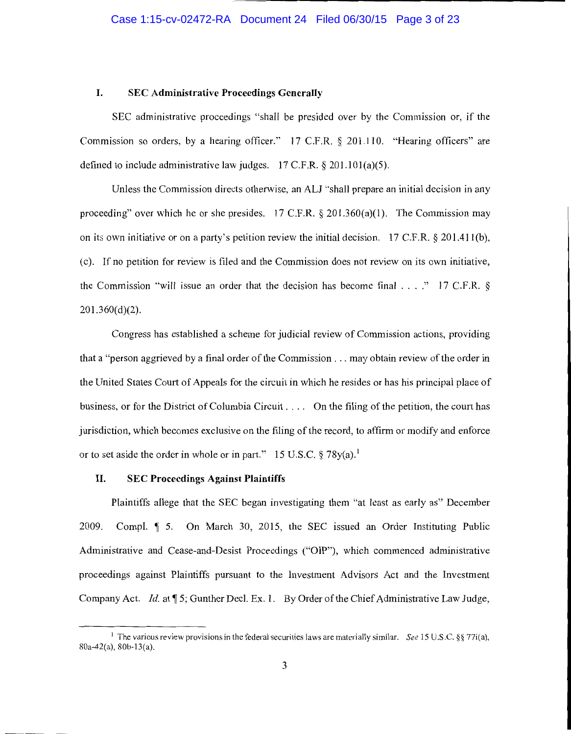#### I. SEC Administrative Proceedings Generally

SEC administrative proceedings "shall be presided over by the Commission or, if the Commission so orders, by a hearing officer.'' 17 C.F.R. § 201.110. "Hearing officers" are defined to include administrative law judges.  $17$  C.F.R. § 201.101(a)(5).

Unless the Commission directs otherwise, an AU ''shall prepare an initial decision in any proceeding" over which he or she presides. 17 C.F.R.  $\S$  201.360(a)(1). The Commission may on its own initiative or on a party's petition review the initial decision. 17 C.F.R.  $\S 201.411(b)$ , ( c ). If no petition for review is filed and the Commission does not review on its own initiative, the Commission "will issue an order that the decision has become final  $\ldots$ ." 17 C.F.R. §  $201.360(d)(2)$ .

Congress has established a scheme for judicial review of Commission actions, providing that a "person aggrieved by a final order of the Commission ... may obtain review of the order in the United States Court of Appeals for the circuit in which he resides or has his principal place of business, or for the District of Columbia Circuit . . . . On the filing of the petition, the court has jurisdiction, which becomes exclusive on the filing of the record, to affirm or modify and enforce or to set aside the order in whole or in part." 15 U.S.C.  $\S 78y(a)$ .<sup>1</sup>

## II. SEC Proceedings Against Plaintiffs

Plaintiffs allege that the SEC began investigating them "at least as early as" December 2009. Compl.  $\parallel$  5. On March 30, 2015, the SEC issued an Order Instituting Public Administrative and Cease-and-Desist Proceedings ("OIP"), which commenced administrative proceedings against Plaintiffs pursuant to the Investment Advisors Act and the Investment Company Act. *Id.* at **15**; Gunther Decl. Ex. 1. By Order of the Chief Administrative Law Judge,

<sup>1</sup>The various review provisions in the federal securities Jaws are materially similar. *See* 15 U.S.C. *§§* 77i(a), 80a-42(a), 80b-13(a).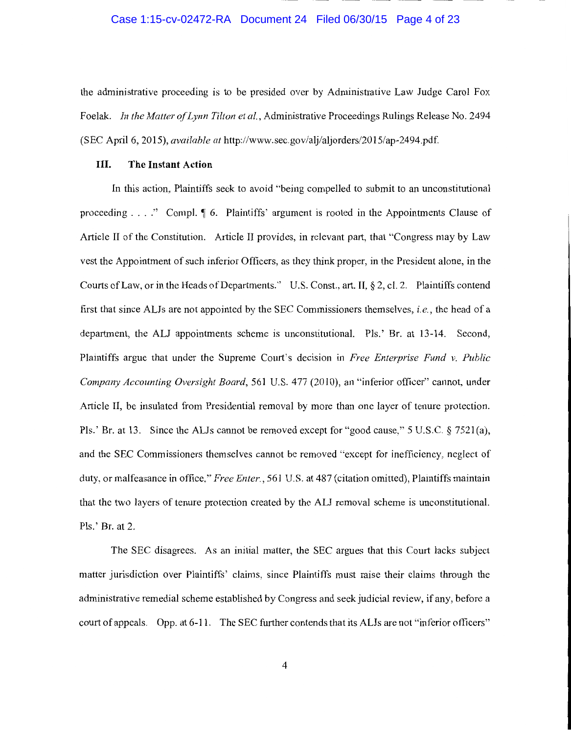## Case 1:15-cv-02472-RA Document 24 Filed 06/30/15 Page 4 of 23

the administrative proceeding is to be presided over by Administrative Law Judge Carol Fox Foelak. *In the Matter of Lynn Tilton et al.,* Administrative Proceedings Rulings Release No. 2494 (SEC April 6, 2015), *available at* http://www.sec.gov/alj/aljorders/2015/ap-2494.pdf.

#### III. **The Instant Action**

In this action, Plaintiffs seek to avoid "being compelled to submit to an unconstitutional proceeding  $\ldots$ ." Compl.  $\llbracket 6$ . Plaintiffs' argument is rooted in the Appointments Clause of Article II of the Constitution. Article II provides, in relevant part, that "Congress may by Law vest the Appointment of such inferior Officers, as they think proper, in the President alone, in the Courts of Law, or in the Heads of Departments." U.S. Const., art. IT,§ 2, cl. 2. Plaintiffs contend first that since ALJs are not appointed by the SEC Commissioners themselves, *i.e.*, the head of a department, the ALJ appointments scheme is unconstitutional. Pls.' Br. at 13-14. Second, Plaintiffs argue that under the Supreme Court's decision in *Free Enterprise Fund v. Public Company Accounting Oversight Board,* 561 U.S. 477 (2010), an "inferior officer" cannot, under Article II, be insulated from Presidential removal by more than one layer of tenure protection. Pls.' Br. at 13. Since the ALJs cannot be removed except for "good cause," 5 U.S.C. § 7521(a), and the SEC Commissioners themselves cannot be removed "except for inefficiency, neglect of duty, or malfeasance in office," *Free Enter.*, 561 U.S. at 487 (citation omitted), Plaintiffs maintain that the two layers of tenure protection created by the ALJ removal scheme is unconstitutional. Pls.' Br. at 2.

The SEC disagrees. As an initial matter, the SEC argues that this Court lacks subject matter jurisdiction over Plaintiffs' claims, since Plaintiffs must raise their claims through the administrative remedial scheme established by Congress and seek judicial review, if any, before a court of appeals. Opp. at 6-11. The SEC further contends that its ALJs are not "inferior officers"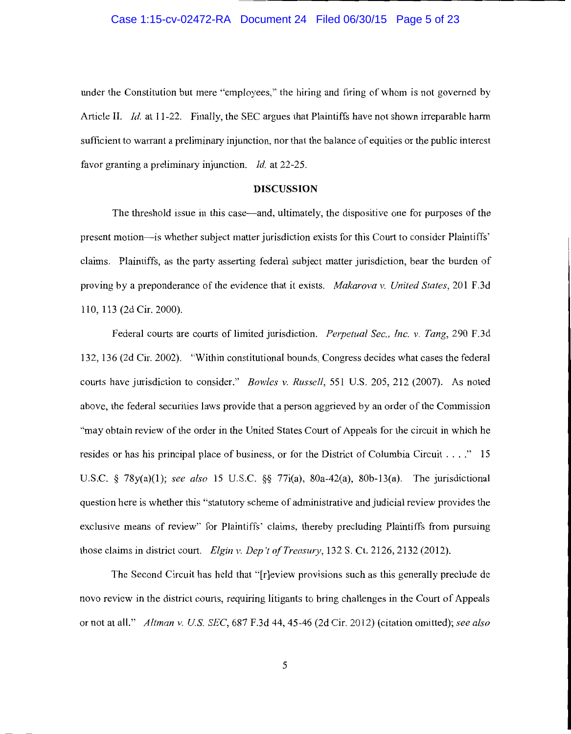## Case 1:15-cv-02472-RA Document 24 Filed 06/30/15 Page 5 of 23

under the Constitution but mere "employees," the hiring and firing of whom is not governed by Article II. *Id.* at 11-22. Finally, the SEC argues that Plaintiffs have not shown irreparable harm sufficient to warrant a preliminary injunction, nor that the balance of equities or the public interest favor granting a preliminary injunction. *Id.* at 22-25.

#### **DISCUSSION**

The threshold issue in this case-and, ultimately, the dispositive one for purposes of the present motion-is whether subject matter jurisdiction exists for this Court to consider Plaintiffs' claims. Plaintiffs, as the party asserting federal subject matter jurisdiction, bear the burden of proving by a preponderance of the evidence that it exists. *Makarova v. United States,* 201 F.3d 110, 113 (2d Cir. 2000).

Federal courts are courts of limited jurisdiction. *Perpetual Sec., Inc. v. Tang,* 290 F.3d 132, 136 (2d Cir. 2002). "Within constitutional bounds, Congress decides what cases the federal courts have jurisdiction to consider." *Bowles v. Russell,* 551 U.S. 205, 212 (2007). As noted above, the federal securities laws provide that a person aggrieved by an order of the Commission "may obtain review of the order in the United States Court of Appeals for the circuit in which he resides or has his principal place of business, or for the District of Columbia Circuit .... " 15 U.S.C. § 78y(a)(l); *see also* 15 U.S.C. §§ 77i(a), 80a-42(a), 80b-13(a). The jurisdictional question here is whether this "statutory scheme of administrative and judicial review provides the exclusive means of review" for Plaintiffs' claims, thereby precluding Plaintiffs from pursuing those claims in district court. *Elgin v. Dep* 't *of Treasury,* 132 S. Ct. 2126, 2132 (2012).

The Second Circuit has held that "[r]eview provisions such as this generally preclude de novo review in the district courts, requiring litigants to bring challenges in the Court of Appeals or not at all." *Altman v. US SEC,* 687 F.3d 44, 45-46 (2d Cir. 2012) (citation omitted); *see also*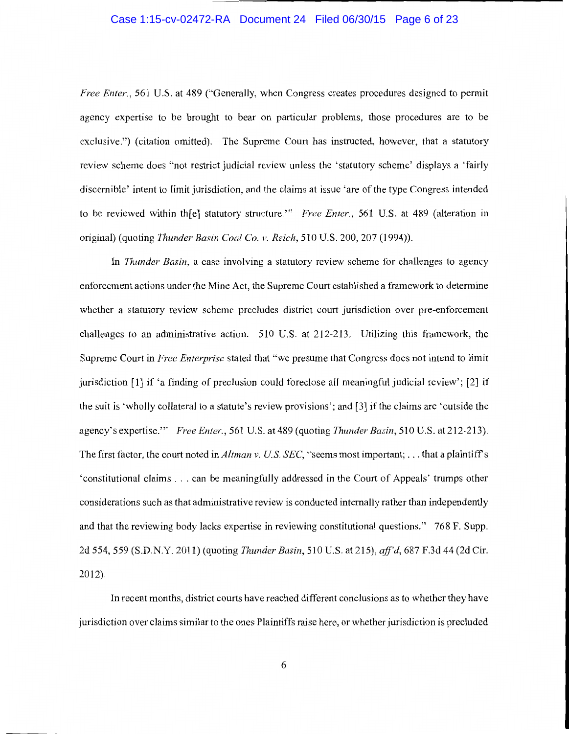## Case 1:15-cv-02472-RA Document 24 Filed 06/30/15 Page 6 of 23

*Free Enter.*, 561 U.S. at 489 ("Generally, when Congress creates procedures designed to permit agency expertise to be brought to bear on particular problems, those procedures are to be exclusive.") (citation omitted). The Supreme Court has instructed, however, that a statutory review scheme does "not restrict judicial review unless the 'statutory scheme' displays a 'fairly discernible' intent to limit jurisdiction, and the claims at issue 'are of the type Congress intended to be reviewed within th[e] statutory structure."' *Free Enter.,* 561 U.S. at 489 (alteration in original) (quoting *Thunder Basin Coal Co. v. Reich,* 510 U.S. 200, 207 (1994)).

In *Thunder Basin,* a case involving a statutory review scheme for challenges to agency enforcement actions under the Mine Act, the Supreme Court established a framework to determine whether a statutory review scheme precludes district court jurisdiction over pre-enforcement challenges to an administrative action. 510 U.S. at 212-213. Utilizing this framework, the Supreme Court in *Free Enterprise* stated that "we presume that Congress does not intend to limit jurisdiction [1] if 'a finding of preclusion could foreclose all meaningful judicial review'; [2] if the suit is 'wholly collateral to a statute's review provisions'; and [3] ifthe claims are 'outside the agency's expertise." *Free Enter.*, 561 U.S. at 489 (quoting *Thunder Basin*, 510 U.S. at 212-213). The first factor, the court noted in *Altman v. U.S. SEC,* "seems most important; ... that a plaintiffs 'constitutional claims ... can be meaningfully addressed in the Court of Appeals' trumps other considerations such as that administrative review is conducted internally rather than independently and that the reviewing body lacks expertise in reviewing constitutional questions." 768 F. Supp. 2d 554, 559 (S.D.N.Y. 2011) (quoting *Thunder Basin,* 510 U.S. at 215), *ajf'd,* 687 F.3d 44 (2d Cir. 2012).

In recent months, district courts have reached different conclusions as to whether they have jurisdiction over claims similar to the ones Plaintiffs raise here, or whether jurisdiction is precluded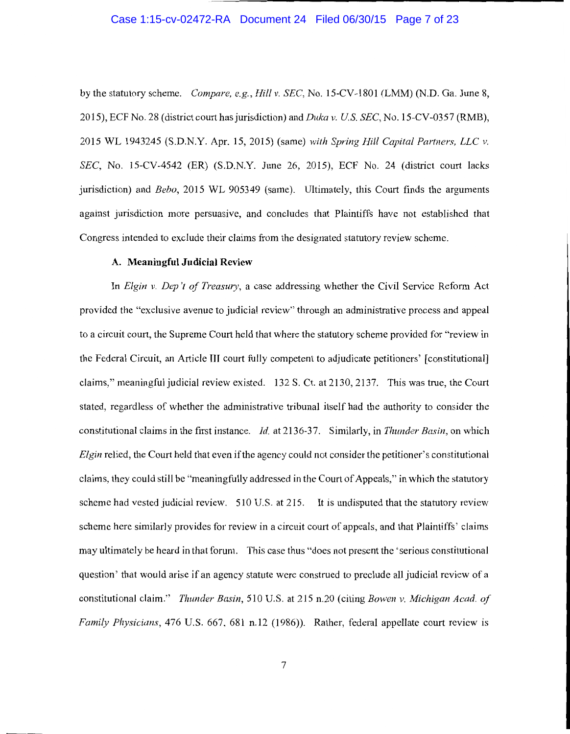## Case 1:15-cv-02472-RA Document 24 Filed 06/30/15 Page 7 of 23

by the statutory scheme. *Compare, e.g., Hill v. SEC,* No. 15-CV-1801 (LMM) (N.D. Ga. June 8, 2015), ECF No. 28 (district court has jurisdiction) and *Duka v. US SEC,* No. 15-CV-0357 (RMB), 2015 WL 1943245 (S.D.N.Y. Apr. 15, 2015) (same) *with Spring Hill Capital Partners, LLC v. SEC,* No. 15-CV-4542 (ER) (S.D.N.Y. June 26, 2015), ECF No. 24 (district court lacks jurisdiction) and *Bebo,* 2015 WL 905349 (same). Ultimately, this Court finds the arguments against jurisdiction more persuasive, and concludes that Plaintiffs have not established that Congress intended to exclude their claims from the designated statutory review scheme.

## **A. Meaningful Judicial Review**

In *Elgin v. Dep* 't *of Treasury,* a case addressing whether the Civil Service Reform Act provided the "exclusive avenue to judicial review" through an administrative process and appeal to a circuit court, the Supreme Court held that where the statutory scheme provided for "review in the Federal Circuit, an Article III court fully competent to adjudicate petitioners' [constitutional] claims," meaningful judicial review existed. 132 S. Ct. at 2130, 2137. This was true, the Court stated, regardless of whether the administrative tribunal itself had the authority to consider the constitutional claims in the first instance. *Id.* at 2136-37. Similarly, in *Thunder Basin*, on which *Elgin* relied, the Court held that even if the agency could not consider the petitioner's constitutional claims, they could still be "meaningfully addressed in the Court of Appeals,'' in which the statutory scheme had vested judicial review. 510 U.S. at 215. It is undisputed that the statutory review scheme here similarly provides for review in a circuit court of appeals, and that Plaintiffs' claims may ultimately be heard in that forum. This case thus "does not present the 'serious constitutional question' that would arise if an agency statute were construed to preclude all judicial review of a constitutional claim." *Thunder Basin,* 510 U.S. at 215 n.20 (citing *Bowen v. Michigan Acad. of Family Physicians,* 476 U.S. 667, 681 n.12 (1986)). Rather, federal appellate court review is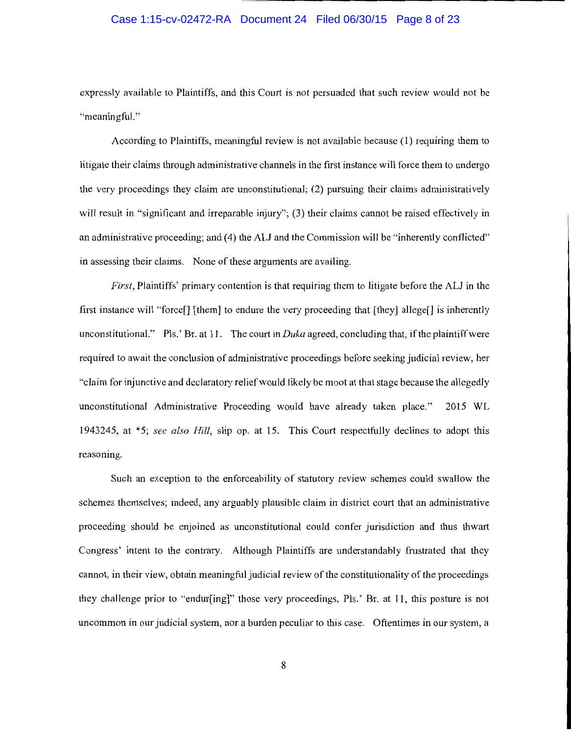# Case 1:15-cv-02472-RA Document 24 Filed 06/30/15 Page 8 of 23

expressly available to Plaintiffs, and this Court is not persuaded that such review would not be "meaningful."

According to Plaintiffs, meaningful review is not available because ( 1) requiring them to litigate their claims through administrative channels in the first instance will force them to undergo the very proceedings they claim are unconstitutional; (2) pursuing their claims administratively will result in "significant and irreparable injury"; (3) their claims cannot be raised effectively in an administrative proceeding; and (4) the ALJ and the Commission will be "inherently conflicted" in assessing their claims. None of these arguments are availing.

*First,* Plaintiffs' primary contention is that requiring them to litigate before the *ALI* in the first instance will "force[] [them] to endure the very proceeding that [they] allege[] is inherently unconstitutional." Pls.' Br. at 11. The court in *Duka* agreed, concluding that, if the plaintiff were required to await the conclusion of administrative proceedings before seeking judicial review, her "claim for injunctive and declaratory relief would likely be moot at that stage because the allegedly unconstitutional Administrative Proceeding would have already taken place." 2015 WL 1943245, at \*5; *see also Hill,* slip op. at 15. This Court respectfully declines to adopt this reasoning.

Such an exception to the enforceability of statutory review schemes could swallow the schemes themselves; indeed, any arguably plausible claim in district court that an administrative proceeding should be enjoined as unconstitutional could confer jurisdiction and thus thwart Congress' intent to the contrary. Although Plaintiffs are understandably frustrated that they cannot, in their view, obtain meaningful judicial review of the constitutionality of the proceedings they challenge prior to "endur[ing]" those very proceedings, Pis.' Br. at 11, this posture is not uncommon in our judicial system, nor a burden peculiar to this case. Oftentimes in our system, a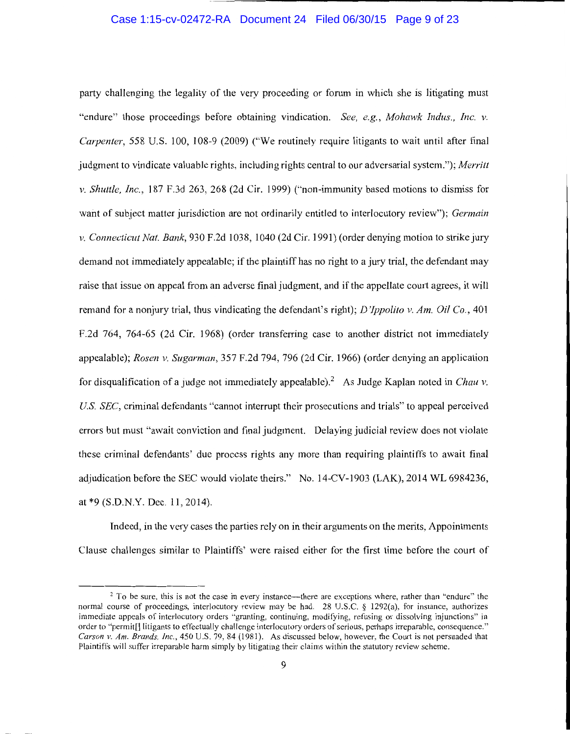## Case 1:15-cv-02472-RA Document 24 Filed 06/30/15 Page 9 of 23

party challenging the legality of the very proceeding or forum in which she is litigating must "endure" those proceedings before obtaining vindication. *See, e.g., Mohawk Indus., Inc. v. Carpenter,* 558 U.S. 100, 108-9 (2009) ("We routinely require litigants to wait until after final judgment to vindicate valuable rights, including rights central to our adversarial system."); *Merritt*  v. *Shuttle, Inc.,* 187 F.3d 263, 268 (2d Cir. 1999) ("non-immunity based motions to dismiss for want of subject matter jurisdiction are not ordinarily entitled to interlocutory review"); *Germain*  v. *Connecticut Nat. Bank,* 930 F.2d 1038, 1040 (2d Cir. 1991) (order denying motion to strike jury demand not immediately appealable; if the plaintiff has no right to a jury trial, the defendant may raise that issue on appeal from an adverse final judgment, and if the appellate court agrees, it will remand for a nonjury trial, thus vindicating the defendant's right); *D'Ippolito v. Am. Oil Co.*, 401 F.2d 764, 764-65 (2d Cir. 1968) (order transferring case to another district not immediately appealable); *Rosen* v. *Sugarman,* 357 F.2d 794, 796 (2d Cir. 1966) (order denying an application for disqualification of a judge not immediately appealable).<sup>2</sup> As Judge Kaplan noted in *Chau v*. *US. SEC,* criminal defendants "cannot interrupt their prosecutions and trials" to appeal perceived errors but must "await conviction and final judgment. Delaying judicial review does not violate these criminal defendants' due process rights any more than requiring plaintiffs to await final adjudication before the SEC would violate theirs." No. 14-CV-1903 (LAK), 2014 WL 6984236, at \*9 (S.D.N.Y. Dec. 11, 2014).

Indeed, in the very cases the parties rely on in their arguments on the merits, Appointments Clause challenges similar to Plaintiffs' were raised either for the first time before the court of

<sup>&</sup>lt;sup>2</sup> To be sure, this is not the case in every instance—there are exceptions where, rather than "endure" the normal course of proceedings, interlocutory review may be had. 28 U.S.C. *§* 1292(a), for instance, authorizes immediate appeals of interlocutory orders "granting, continuing, modifying, refusing or dissolving injunctions" in order to ''permit[] litigants to effectually challenge interlocutory orders of serious, perhaps irreparable, consequence." *Carson v. Am. Brands, Inc.,* 450 U.S. 79, 84 (1981). As discussed below, however, the Court is not persuaded that Plaintiffs will suffer irreparable harm simply by litigating their claims within the statutory review scheme.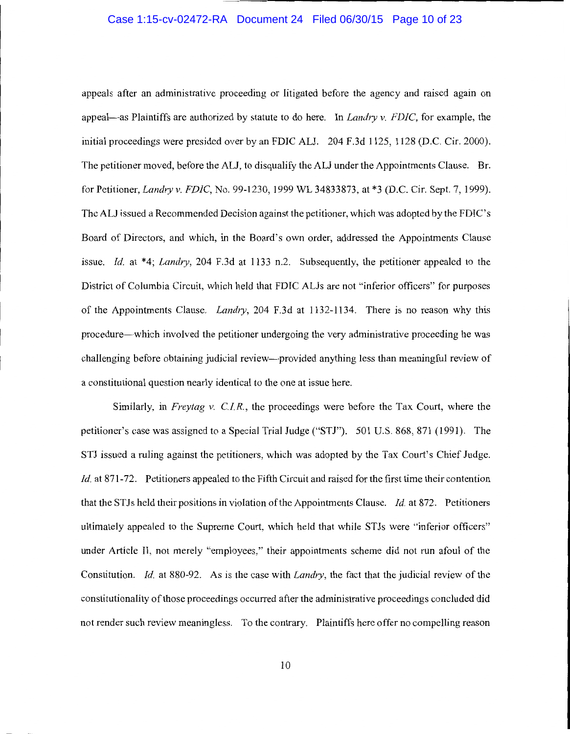## Case 1:15-cv-02472-RA Document 24 Filed 06/30/15 Page 10 of 23

appeals after an administrative proceeding or litigated before the agency and raised again on appeal-as Plaintiffs are authorized by statute to do here. In *Landry* v. *FDIC,* for example, the initial proceedings were presided over by an FDIC ALI. 204 F.3d 1125, 1128 (D.C. Cir. 2000). The petitioner moved, before the ALI, to disqualify the ALI under the Appointments Clause. Br. for Petitioner, *Landry v. FDIC,* No. 99-1230, 1999 WL 34833873, at \*3 (D.C. Cir. Sept. 7, 1999). The ALJ issued a Recommended Decision against the petitioner, which was adopted by the FDIC' s Board of Directors, and which, in the Board's own order, addressed the Appointments Clause issue. *Id.* at \*4; *Landry,* 204 F.3d at 1133 n.2. Subsequently, the petitioner appealed to the District of Columbia Circuit, which held that FDIC ALJs are not "inferior officers" for purposes of the Appointments Clause. *Landry,* 204 F.3d at 1132-1134. There is no reason why this procedure-which involved the petitioner undergoing the very administrative proceeding he was challenging before obtaining judicial review--provided anything less than meaningful review of a constitutional question nearly identical to the one at issue here.

Similarly, in *Freytag v. C.I.R.,* the proceedings were before the Tax Court, where the petitioner's case was assigned to a Special Trial Judge ("STJ"). 501 U.S. 868, 871 (1991). The STJ issued a ruling against the petitioners, which was adopted by the Tax Court's Chief Judge. *Id.* at 871-72. Petitioners appealed to the Fifth Circuit and raised for the first time their contention that the STJs held their positions in violation of the Appointments Clause. *Id.* at 872. Petitioners ultimately appealed to the Supreme Court, which held that while STJs were "inferior officers" under Article II, not merely "employees," their appointments scheme did not run afoul of the Constitution. *Id.* at 880-92. As is the case with *Landry,* the fact that the judicial review of the constitutionality of those proceedings occurred after the administrative proceedings concluded did not render such review meaningless. To the contrary. Plaintiffs here offer no compelling reason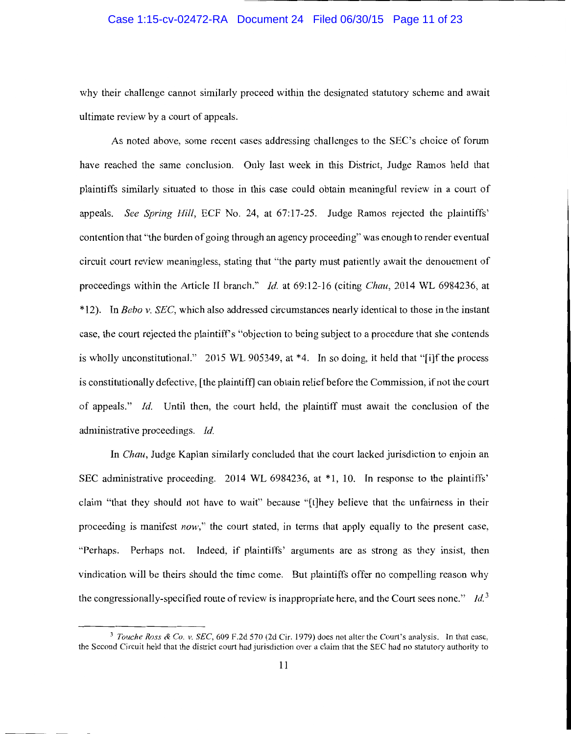# Case 1:15-cv-02472-RA Document 24 Filed 06/30/15 Page 11 of 23

why their challenge cannot similarly proceed within the designated statutory scheme and await ultimate review by a court of appeals.

As noted above, some recent cases addressing challenges to the SEC's choice of forum have reached the same conclusion. Only last week in this District, Judge Ramos held that plaintiffs similarly situated to those in this case could obtain meaningful review in a court of appeals. *See Spring Hill,* ECF No. 24, at 67:17-25. Judge Ramos rejected the plaintiffs' contention that "the burden of going through an agency proceeding" was enough to render eventual circuit court review meaningless, stating that "the party must patiently await the denouement of proceedings within the Article II branch." *Id.* at 69:12-16 (citing *Chau,* 2014 WL 6984236, at \* 12). In *Bebo v. SEC,* which also addressed circumstances nearly identical to those in the instant case, the court rejected the plaintiffs "objection to being subject to a procedure that she contends is wholly unconstitutional." 2015 WL 905349, at  $*4$ . In so doing, it held that "[i]f the process is constitutionally defective, [the plaintiff] can obtain relief before the Commission, if not the court of appeals." *Id.* Until then, the court held, the plaintiff must await the conclusion of the administrative proceedings. *Id.* 

In *Chau,* Judge Kaplan similarly concluded that the court lacked jurisdiction to enjoin an SEC administrative proceeding. 2014 WL 6984236, at \*1, 10. In response to the plaintiffs' claim "that they should not have to wait" because "[t]hey believe that the unfairness in their proceeding is manifest *now,"* the court stated, in terms that apply equally to the present case, "Perhaps. Perhaps not. Indeed, if plaintiffs' arguments are as strong as they insist, then vindication will be theirs should the time come. But plaintiffs offer no compelling reason why the congressionally-specified route of review is inappropriate here, and the Court sees none." *Id.*<sup>3</sup>

<sup>&</sup>lt;sup>3</sup> Touche Ross & Co. v. SEC, 609 F.2d 570 (2d Cir. 1979) does not alter the Court's analysis. In that case, the Second Circuit held that the district court had jurisdiction over a claim that the SEC had no statutory authority to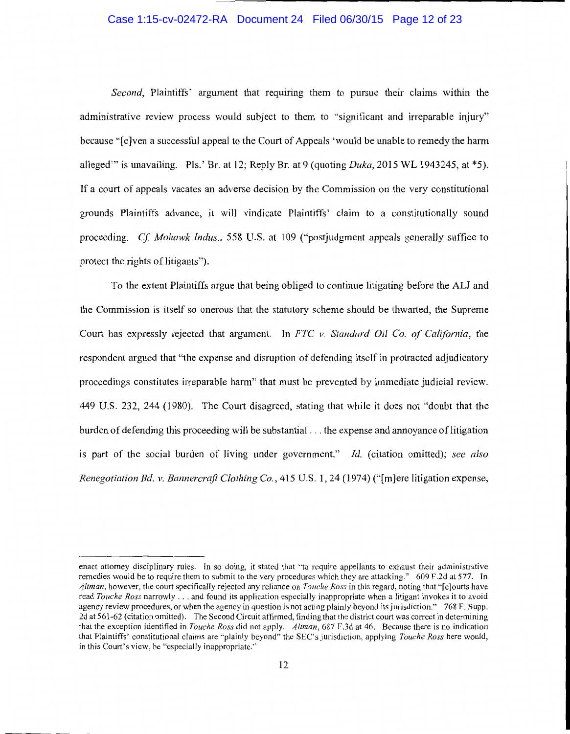# Case 1:15-cv-02472-RA Document 24 Filed 06/30/15 Page 12 of 23

*Second*, Plaintiffs' argument that requiring them to pursue their claims within the administrative review process would subject to them to "significant and irreparable injury" because "[e]ven a successful appeal to the Court of Appeals 'would be unable to remedy the harm alleged"' is unavailing. Pls.' Br. at 12; Reply Br. at 9 (quoting *Duka,* 2015 WL 1943245, at \*5). If a court of appeals vacates an adverse decision by the Commission on the very constitutional grounds Plaintiffs advance, it will vindicate Plaintiffs' claim to a constitutionally sound proceeding. *Cf Mohawk Indus.,* 558 U.S. at 109 ("postjudgment appeals generally suffice to protect the rights of litigants").

To the extent Plaintiffs argue that being obliged to continue litigating before the ALJ and the Commission is itself so onerous that the statutory scheme should be thwarted, the Supreme Court has expressly rejected that argument. In *FTC v. Standard Oil Co. of California,* the respondent argued that "the expense and disruption of defending itself in protracted adjudicatory proceedings constitutes irreparable harm" that must be prevented by immediate judicial review. 449 U.S. 232, 244 (1980). The Court disagreed, stating that while it does not "doubt that the burden of defending this proceeding will be substantial ... the expense and annoyance of litigation is part of the social burden of living under government." *Id.* (citation omitted); *see also Renegotiation Bd. v. Bannercrafl Clothing Co.,* 415 U.S. 1, 24 (1974) ("[m]ere litigation expense,

enact attorney disciplinary rules. In so doing, it stated that "to require appellants to exhaust their administrative remedies would be to require them to submit to the very procedures which they are attacking." 609 F.2d at 577. In *Altman,* however, the court specifically rejected any reliance on *Touche Ross* in this regard, noting that "[c]ourts have read *Touche Ross* narrowly ... and found its application especially inappropriate when a litigant invokes it to avoid agency review procedures, or when the agency in question is not acting plainly beyond its jurisdiction." 768 F. Supp. 2d at 561-62 (citation omitted). The Second Circuit affirmed, finding that the district court was correct in determining that the exception identified in *Touche Ross* did not apply. *Altman,* 687 F.3d at 46. Because there is no indication that Plaintiffs' constitutional claims are "plainly beyond" the SEC's jurisdiction, applying *Touche Ross* here would, in this Court's view, be "especially inappropriate."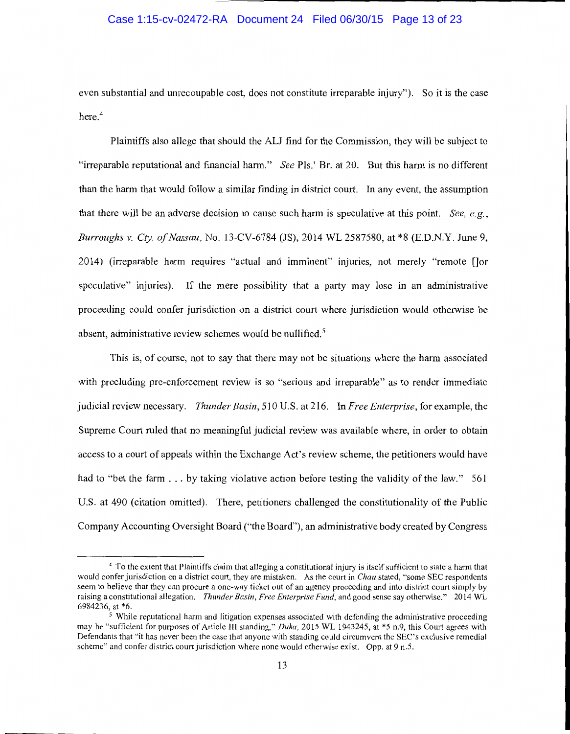# Case 1:15-cv-02472-RA Document 24 Filed 06/30/15 Page 13 of 23

even substantial and unrecoupable cost, does not constitute irreparable injury"). So it is the case here.<sup>4</sup>

Plaintiffs also allege that should the ALJ find for the Commission, they will be subject to "irreparable reputational and financial harm." *See* Pis.' Br. at 20. But this harm is no different than the harm that would follow a similar finding in district court. In any event, the assumption that there will be an adverse decision to cause such harm is speculative at this point. *See, e.g., Burroughs v. Cty. of Nassau,* No. 13-CV-6784 (JS), 2014 WL 2587580, at \*8 (E.D.N.Y. June 9, 2014) (irreparable harm requires "actual and imminent" injuries, not merely "remote []or speculative" injuries). If the mere possibility that a party may lose in an administrative proceeding could confer jurisdiction on a district court where jurisdiction would otherwise be absent, administrative review schemes would be nullified.<sup>5</sup>

This is, of course, not to say that there may not be situations where the harm associated with precluding pre-enforcement review is so "serious and irreparable" as to render immediate judicial review necessary. *Thunder Basin,* 510 U.S. at 216. In *Free Enterprise,* for example, the Supreme Court ruled that no meaningful judicial review was available where, in order to obtain access to a court of appeals within the Exchange Act's review scheme, the petitioners would have had to "bet the farm . . . by taking violative action before testing the validity of the law." 561 U.S. at 490 (citation omitted). There, petitioners challenged the constitutionality of the Public Company Accounting Oversight Board (''the Board"), an administrative body created by Congress

<sup>4</sup> To the extent that Plaintiffs claim that alleging a constitutional injury is itself sufficient to state a harm that would confer jurisdiction on a district court, they are mistaken. As the court in *Chau* stated, "some SEC respondents seem to believe that they can procure a one-way ticket out of an agency proceeding and into district court simply by raising a constitutional allegation. *Thunder Basin, Free Enterprise Fund,* and good sense say otherwise." 2014 WL

 $<sup>5</sup>$  While reputational harm and litigation expenses associated with defending the administrative proceeding</sup> may be "sufficient for purposes of Article III standing," *Duka,* 2015 WL 1943245, at \*5 n.9, this Court agrees with Defendants that "'it has never been the case that anyone with standing could circumvent the SEC's exclusive remedial scheme" and confer district court jurisdiction where none would otherwise exist. Opp. at 9 n.5.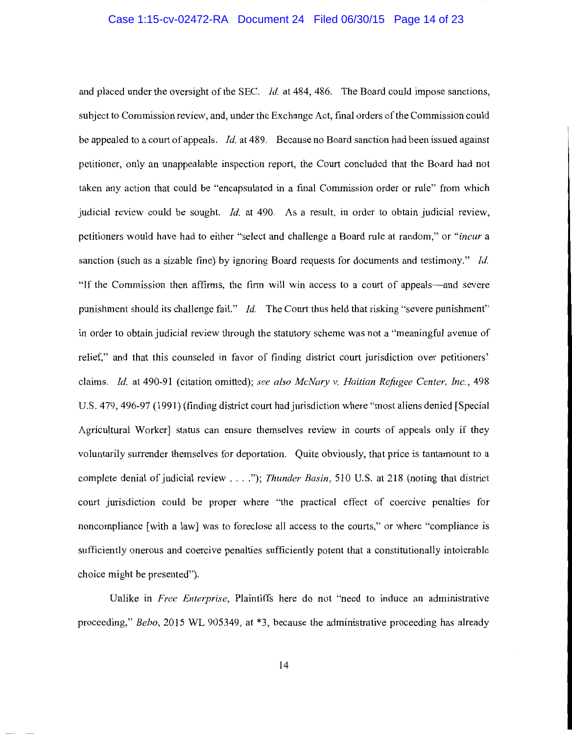## Case 1:15-cv-02472-RA Document 24 Filed 06/30/15 Page 14 of 23

and placed under the oversight of the SEC. *Id.* at 484, 486. The Board could impose sanctions, subject to Commission review, and, under the Exchange Act, final orders of the Commission could be appealed to a court ofappeals. *Id.* at 489. Because no Board sanction had been issued against petitioner, only an unappealable inspection report, the Court concluded that the Board had not taken any action that could be "encapsulated in a final Commission order or rule" from which judicial review could be sought. *Id.* at 490. As a result, in order to obtain judicial review, petitioners would have had to either "select and challenge a Board rule at random," or *"incur* a sanction (such as a sizable fine) by ignoring Board requests for documents and testimony." *Id.*  "If the Commission then affirms, the firm will win access to a court of appeals-and severe punishment should its challenge fail." *Id.* The Court thus held that risking "severe punishment" in order to obtain judicial review through the statutory scheme was not a "meaningful avenue of relief," and that this counseled in favor of finding district court jurisdiction over petitioners' claims. *Id.* at 490-91 (citation omitted); *see also McNary v. Haitian Refugee Center, Inc.,* 498 U.S. 4 79, 496-97 ( 1991) (finding district court had jurisdiction where "most aliens denied [Special Agricultural Worker] status can ensure themselves review in courts of appeals only if they voluntarily surrender themselves for deportation. Quite obviously, that price is tantamount to a complete denial of judicial review .... "); *Thunder Basin,* 510 U.S. at 218 (noting that district court jurisdiction could be proper where "the practical effect of coercive penalties for noncompliance [with a law] was to foreclose all access to the courts," or where "compliance is sufficiently onerous and coercive penalties sufficiently potent that a constitutionally intolerable choice might be presented").

Unlike in *Free Enterprise,* Plaintiffs here do not "need to induce an administrative proceeding," *Bebo,* 2015 WL 905349, at \*3, because the administrative proceeding has already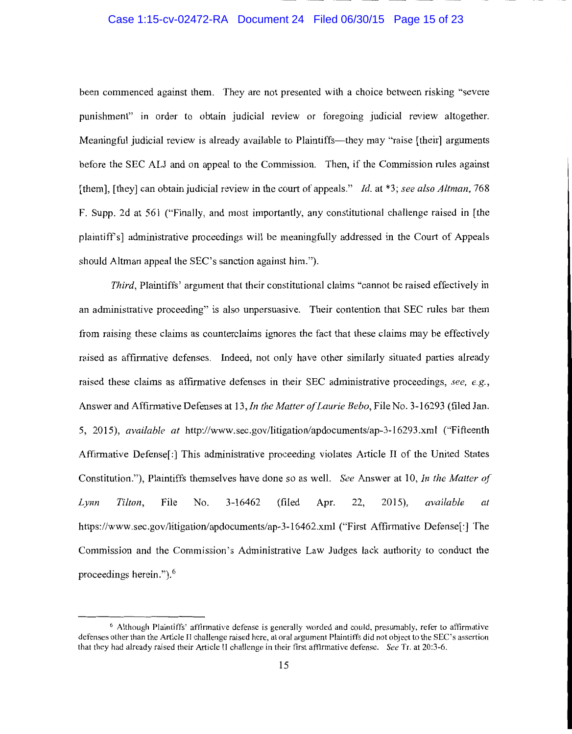# Case 1:15-cv-02472-RA Document 24 Filed 06/30/15 Page 15 of 23

been commenced against them. They are not presented with a choice between risking "severe punishment" in order to obtain judicial review or foregoing judicial review altogether. Meaningful judicial review is already available to Plaintiffs—they may "raise [their] arguments before the SEC ALI and on appeal to the Commission. Then, if the Commission rules against [them], [they] can obtain judicial review in the court of appeals." *Id.* at \*3; *see also Altman,* 768 F. Supp. 2d at 56 I ("Finally, and most importantly, any constitutional challenge raised in [the plaintiffs] administrative proceedings will be meaningfully addressed in the Court of Appeals should Altman appeal the SEC's sanction against him.").

*Third,* Plaintiffs' argument that their constitutional claims "cannot be raised effectively in an administrative proceeding" is also unpersuasive. Their contention that SEC rules bar them from raising these claims as counterclaims ignores the fact that these claims may be effectively raised as affirmative defenses. Indeed, not only have other similarly situated parties already raised these claims as affirmative defenses in their SEC administrative proceedings, *see, e.g.,*  Answer and Affirmative Defenses at 13, *In the Matter of Laurie Bebo,* File No. 3-16293 (filed Jan. 5, 2015), *available at* http://www.sec.gov/litigation/apdocuments/ap-3-16293.xml ("Fifteenth Affirmative Defense[:] This administrative proceeding violates Article II of the United States Constitution."), Plaintiffs themselves have done so as well. *See* Answer at 10, *In the Matter of Lynn Tilton,* File No. 3-16462 (filed Apr. 22, 2015), *available at*  https://www.sec.gov/litigation/apdocuments/ap-3-16462.xml ("First Affirmative Defense[:] The Commission and the Commission's Administrative Law Judges lack authority to conduct the proceedings herein."). 6

<sup>6</sup> Although Plaintiffs' affirmative defense is generally worded and could. presumably, refer to affirmative defenses other than the Article II challenge raised here, at oral argument Plaintiffs did not object to the SEC's assertion that they had already raised their Article II challenge in their first affirmative defense. *See* Tr. at 20:3-6.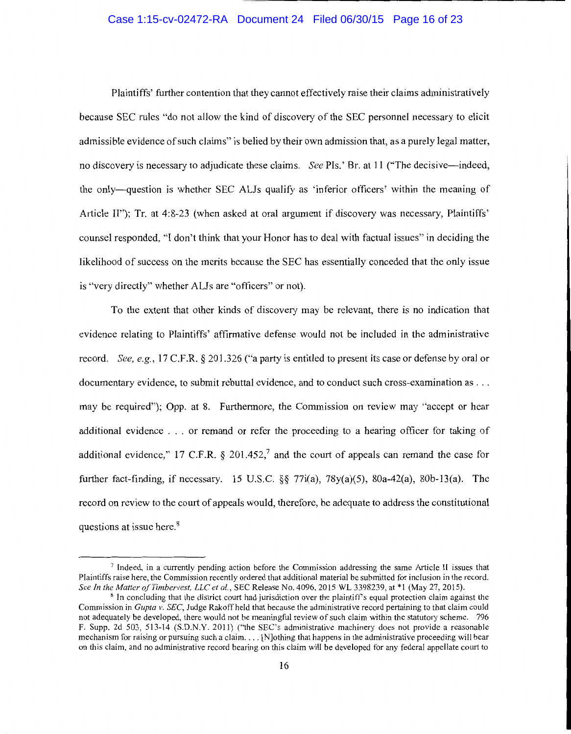# Case 1:15-cv-02472-RA Document 24 Filed 06/30/15 Page 16 of 23

Plaintiffs' further contention that they cannot effectively raise their claims administratively because SEC rules "do not allow the kind of discovery of the SEC personnel necessary to elicit admissible evidence of such claims" is belied by their own admission that, as a purely legal matter, no discovery is necessary to adjudicate these claims. *See* Pls.' Br. at 11 ("The decisive-indeed, the only-question is whether SEC ALJs qualify as 'inferior officers' within the meaning of Article II"); Tr. at 4:8-23 (when asked at oral argument if discovery was necessary, Plaintiffs' counsel responded, "I don't think that your Honor has to deal with factual issues" in deciding the likelihood of success on the merits because the SEC has essentially conceded that the only issue is "very directly" whether ALJs are "officers" or not).

To the extent that other kinds of discovery may be relevant, there is no indication that evidence relating to Plaintiffs' affirmative defense would not be included in the administrative record. *See, e.g.,* 17 C.F .R. § 201.326 ("a party is entitled to present its case or defense by oral or documentary evidence, to submit rebuttal evidence, and to conduct such cross-examination as ... may be required"); Opp. at 8. Furthermore, the Commission on review may "accept or hear additional evidence . . . or remand or refer the proceeding to a hearing officer for taking of additional evidence," 17 C.F.R.  $\&$  201.452,<sup>7</sup> and the court of appeals can remand the case for further fact-finding, if necessary. 15 U.S.C.  $\S$  77 $i$ (a), 78 $y$ (a)(5), 80a-42(a), 80b-13(a). The record on review to the court of appeals would, therefore, be adequate to address the constitutional questions at issue here.<sup>8</sup>

<sup>7</sup>Indeed, in a currently pending action before the Commission addressing the same Article II issues that Plaintiffs raise here, the Commission recently ordered that additional material be submitted for inclusion in the record.<br>See In the Matter of Timbervest, LLC et al., SEC Release No. 4096, 2015 WL 3398239, at \*1 (May 27, 2

<sup>&</sup>lt;sup>8</sup> In concluding that the district court had jurisdiction over the plaintiff's equal protection claim against the Commission in *Gupta v. SEC,* Judge Rakoffheld that because the administrative record pertaining to that claim could not adequately be developed, there would not be meaningful review of such claim within the statutory scheme. 796 F. Supp. 2d 503, 513-14 (S.D.N.Y. 2011) ("the SEC's administrative machinery does not provide a reasonable mechanism for raising or pursuing such a claim .... [N]othing that happens in the administrative proceeding will bear on this claim, and no administrative record bearing on this claim will be developed for any federal appellate court to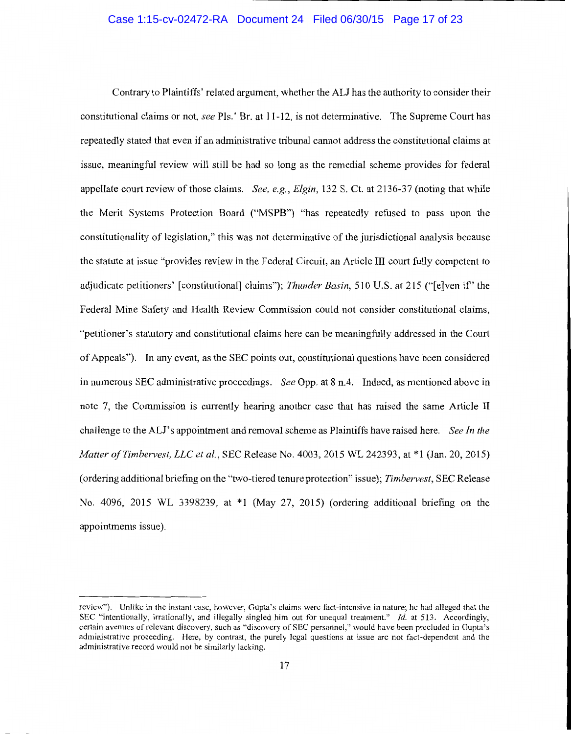## Case 1:15-cv-02472-RA Document 24 Filed 06/30/15 Page 17 of 23

Contrary to Plaintiffs' related argument, whether the ALJ has the authority to consider their constitutional claims or not, *see* Pis.' Br. at 11-12, is not determinative. The Supreme Court has repeatedly stated that even if an administrative tribunal cannot address the constitutional claims at issue, meaningful review will still be had so long as the remedial scheme provides for federal appellate court review of those claims. *See, e.g., Elgin,* 132 S. Ct. at 2136-37 (noting that while the Merit Systems Protection Board ("MSPB") "has repeatedly refused to pass upon the constitutionality of legislation," this was not determinative of the jurisdictional analysis because the statute at issue "provides review in the Federal Circuit, an Article III court fully competent to adjudicate petitioners' [constitutional] claims"); *Thunder Basin*, 510 U.S. at 215 ("[e]ven if" the Federal Mine Safety and Health Review Commission could not consider constitutional claims, "petitioner's statutory and constitutional claims here can be meaningfully addressed in the Court of Appeals"). In any event, as the SEC points out, constitutional questions have been considered in numerous SEC administrative proceedings. *See* Opp. at 8 n.4. Indeed, as mentioned above in note 7, the Commission is currently hearing another case that has raised the same Article II challenge to the ALJ's appointment and removal scheme as Plaintiffs have raised here. *See In the Matter ofTimbervest, LLC et al.,* SEC Release No. 4003, 2015 WL 242393, at \*1 (Jan. 20, 2015) (ordering additional briefing on the "two-tiered tenure protection" issue); *Timbervest,* SEC Release No. 4096, 2015 WL 3398239, at \*1 (May 27, 2015) (ordering additional briefing on the appointments issue).

review"). Unlike in the instant case, however, Gupta's claims were fact-intensive in nature; he had alleged that the SEC "intentionally, irrationally, and illegally singled him out for unequal treatment." *Id.* at 513. Accordingly, certain avenues of relevant discovery, such as "discovery of SEC personnel," would have been precluded in Gupta's administrative proceeding. Here, by contrast, the purely legal questions at issue are not fact-dependent and the administrative record would not be similarly lacking.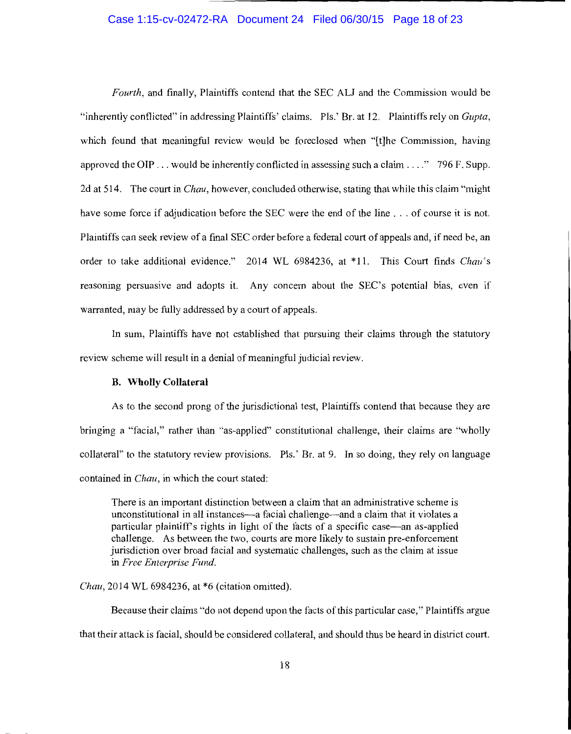## Case 1:15-cv-02472-RA Document 24 Filed 06/30/15 Page 18 of 23

*Fourth,* and finally, Plaintiffs contend that the SEC ALJ and the Commission would be "inherently conflicted" in addressing Plaintiffs' claims. Pls.' Br. at 12. Plaintiffs rely on *Gupta,*  which found that meaningful review would be foreclosed when "[t]he Commission, having approved the OTP ... would be inherently conflicted in assessing such a claim .... " 796 F. Supp. 2d at 514. The court in *Chau,* however, concluded otherwise, stating that while this claim "might have some force if adjudication before the SEC were the end of the line ... of course it is not. Plaintiffs can seek review of a final SEC order before a federal court of appeals and, if need be, an order to take additional evidence." 2014 WL 6984236, at \*11. This Court finds *Chau's*  reasoning persuasive and adopts it. Any concern about the SEC's potential bias, even if warranted, may be fully addressed by a court of appeals.

In sum, Plaintiffs have not established that pursuing their claims through the statutory review scheme will result in a denial of meaningful judicial review.

#### **B. Wholly Collateral**

As to the second prong of the jurisdictional test, Plaintiffs contend that because they are bringing a "facial," rather than "as-applied" constitutional challenge, their claims are "wholly collateral" to the statutory review provisions. Pls.' Br. at 9. In so doing, they rely on language contained in *Chau,* in which the court stated:

There is an important distinction between a claim that an administrative scheme is unconstitutional in all instances—a facial challenge—and a claim that it violates a particular plaintiff's rights in light of the facts of a specific case—an as-applied challenge. As between the two, courts are more likely to sustain pre-enforcement jurisdiction over broad facial and systematic challenges, such as the claim at issue in *Free Enterprise Fund.* 

*Chau,* 2014 WL 6984236, at \*6 (citation omitted).

Because their claims "do not depend upon the facts of this particular case," Plaintiffs argue that their attack is facial, should be considered collateral, and should thus be heard in district court.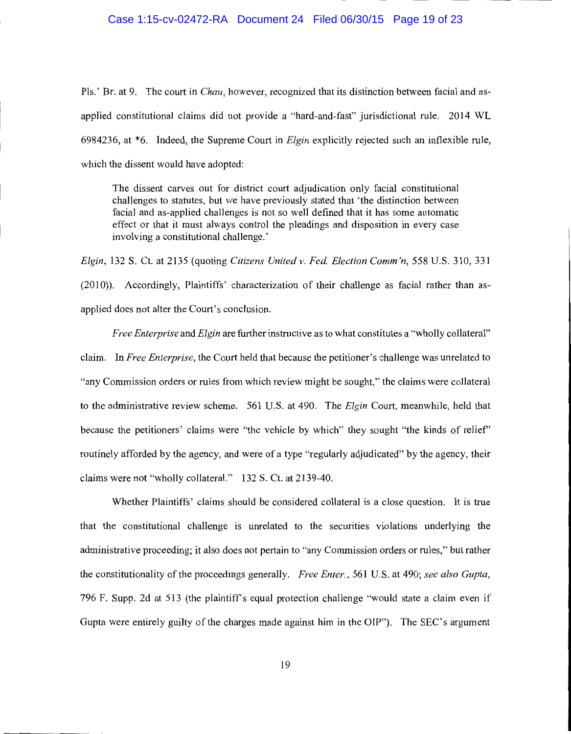## Case 1:15-cv-02472-RA Document 24 Filed 06/30/15 Page 19 of 23

Pls.' Br. at 9. The court in *Chau,* however, recognized that its distinction between facial and asapplied constitutional claims did not provide a "hard-and-fast" jurisdictional rule. 2014 WL 6984236, at \*6. Indeed, the Supreme Court in *Elgin* explicitly rejected such an inflexible rule, which the dissent would have adopted:

The dissent carves out for district court adjudication only facial constitutional challenges to statutes, but we have previously stated that 'the distinction between facial and as-applied challenges is not so well defined that it has some automatic effect or that it must always control the pleadings and disposition in every case involving a constitutional challenge.'

*Elgin,* 132 S. Ct. at 2135 (quoting *Citizens United v. Fed Election Comm 'n,* 558 U.S. 310, 331 (2010)). Accordingly, Plaintiffs' characterization of their challenge as facial rather than asapplied does not alter the Court's conclusion.

*Free Enterprise* and *Elgin* are further instructive as to what constitutes a "wholly collateral" claim. In *Free Enterprise,* the Court held that because the petitioner's challenge was unrelated to "any Commission orders or rules from which review might be sought," the claims were collateral to the administrative review scheme. 561 U.S. at 490. The *Elgin* Court, meanwhile, held that because the petitioners' claims were "the vehicle by which" they sought "the kinds of relief' routinely afforded by the agency, and were of a type "regularly adjudicated" by the agency, their claims were not "wholly collateral." 132 S. Ct. at 2139-40.

Whether Plaintiffs' claims should be considered collateral is a close question. It is true that the constitutional challenge is unrelated to the securities violations underlying the administrative proceeding; it also does not pertain to "any Commission orders or rules," but rather the constitutionality of the proceedings generally. *Free Enter.,* 561 U.S. at 490; *see also Gupta,*  796 F. Supp. 2d at 513 (the plaintiffs equal protection challenge "would state a claim even if Gupta were entirely guilty of the charges made against him in the OIP"). The SEC's argument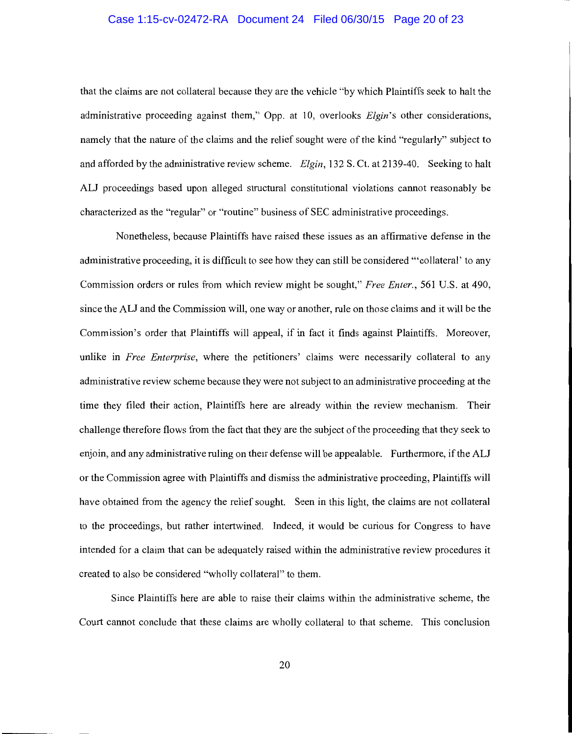## Case 1:15-cv-02472-RA Document 24 Filed 06/30/15 Page 20 of 23

that the claims are not collateral because they are the vehicle "by which Plaintiffs seek to halt the administrative proceeding against them," Opp. at 10, overlooks *Elgin's* other considerations, namely that the nature of the claims and the relief sought were of the kind "regularly" subject to and afforded by the administrative review scheme. *Elgin,* 132 S. Ct. at 2139-40. Seeking to halt *ALI* proceedings based upon alleged structural constitutional violations cannot reasonably be characterized as the "regular" or "routine" business of SEC administrative proceedings.

Nonetheless, because Plaintiffs have raised these issues as an affirmative defense in the administrative proceeding, it is difficult to see how they can still be considered '"collateral' to any Commission orders or rules from which review might be sought," *Free Enter.,* 561 U.S. at 490, since the ALI and the Commission will, one way or another, rule on those claims and it will be the Commission's order that Plaintiffs will appeal, if in fact it finds against Plaintiffs. Moreover, unlike in *Free Enterprise,* where the petitioners' claims were necessarily collateral to any administrative review scheme because they were not subject to an administrative proceeding at the time they filed their action, Plaintiffs here are already within the review mechanism. Their challenge therefore flows from the fact that they are the subject of the proceeding that they seek to enjoin, and any administrative ruling on their defense will be appealable. Furthermore, ifthe ALI or the Commission agree with Plaintiffs and dismiss the administrative proceeding, Plaintiffs will have obtained from the agency the relief sought. Seen in this light, the claims are not collateral to the proceedings, but rather intertwined. Indeed, it would be curious for Congress to have intended for a claim that can be adequately raised within the administrative review procedures it created to also be considered "wholly collateral" to them.

Since Plaintiffs here are able to raise their claims within the administrative scheme, the Court cannot conclude that these claims are wholly collateral to that scheme. This conclusion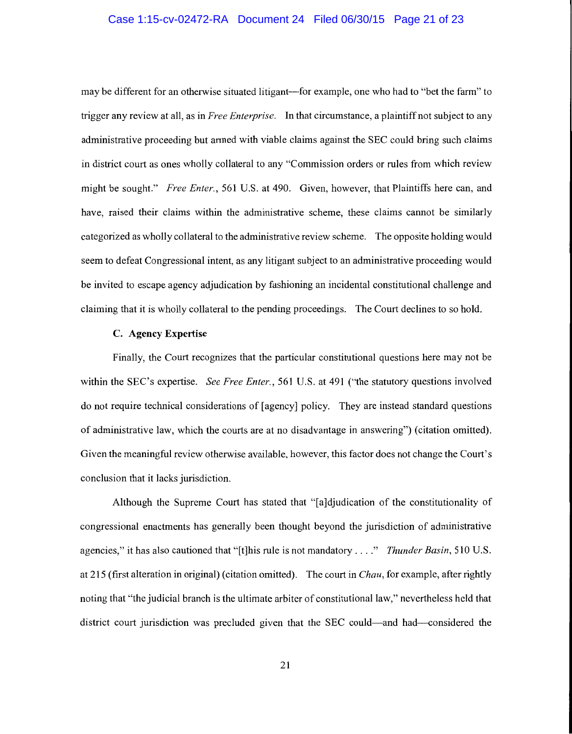## Case 1:15-cv-02472-RA Document 24 Filed 06/30/15 Page 21 of 23

may be different for an otherwise situated litigant—for example, one who had to "bet the farm" to trigger any review at all, as in *Free Enterprise.* In that circumstance, a plaintiff not subject to any administrative proceeding but armed with viable claims against the SEC could bring such claims in district court as ones wholly collateral to any "Commission orders or rules from which review might be sought." *Free Enter.,* 561 U.S. at 490. Given, however, that Plaintiffs here can, and have, raised their claims within the administrative scheme, these claims cannot be similarly categorized as wholly collateral to the administrative review scheme. The opposite holding would seem to defeat Congressional intent, as any litigant subject to an administrative proceeding would be invited to escape agency adjudication by fashioning an incidental constitutional challenge and claiming that it is wholly collateral to the pending proceedings. The Court declines to so hold.

## C. Agency Expertise

Finally, the Court recognizes that the particular constitutional questions here may not be within the SEC's expertise. *See Free Enter.,* 561 U.S. at 491 ("the statutory questions involved do not require technical considerations of [agency] policy. They are instead standard questions of administrative law, which the courts are at no disadvantage in answering") (citation omitted). Given the meaningful review otherwise available, however, this factor does not change the Court's conclusion that it lacks jurisdiction.

Although the Supreme Court has stated that "[a ]djudication of the constitutionality of congressional enactments has generally been thought beyond the jurisdiction of administrative agencies," it has also cautioned that "[t]his rule is not mandatory .... " *Thunder Basin,* 510 U.S. at 215 (first alteration in original) (citation omitted). The court in *Chau,* for example, after rightly noting that "the judicial branch is the ultimate arbiter of constitutional law," nevertheless held that district court jurisdiction was precluded given that the SEC could-and had--considered the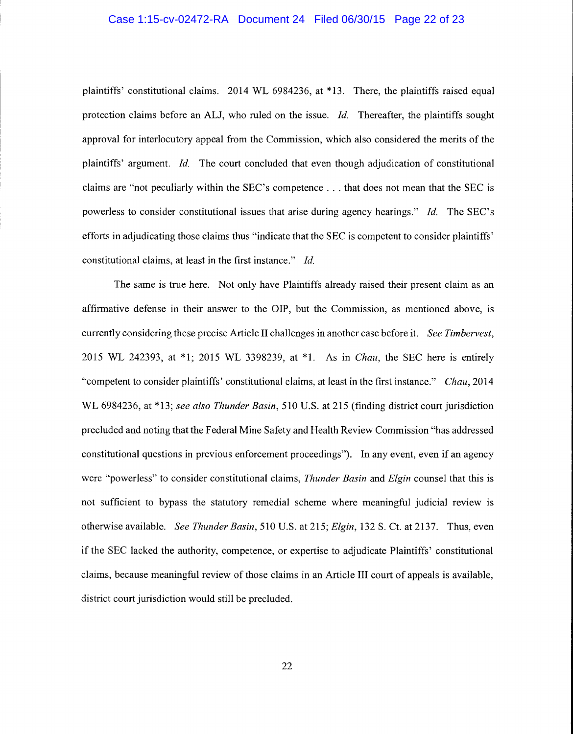## Case 1:15-cv-02472-RA Document 24 Filed 06/30/15 Page 22 of 23

plaintiffs' constitutional claims. 2014 WL 6984236, at \*13. There, the plaintiffs raised equal protection claims before an ALI, who ruled on the issue. *Id.* Thereafter, the plaintiffs sought approval for interlocutory appeal from the Commission, which also considered the merits of the plaintiffs' argument. *Id.* The court concluded that even though adjudication of constitutional claims are "not peculiarly within the SEC's competence ... that does not mean that the SEC is powerless to consider constitutional issues that arise during agency hearings." *Id.* The SEC's efforts in adjudicating those claims thus "indicate that the SEC is competent to consider plaintiffs' constitutional claims, at least in the first instance." *Id.* 

The same is true here. Not only have Plaintiffs already raised their present claim as an affirmative defense in their answer to the OIP, but the Commission, as mentioned above, is currently considering these precise Article II challenges in another case before it. *See Timbervest,*  2015 WL 242393, at \*1; 2015 WL 3398239, at \*1. As in *Chau,* the SEC here is entirely "competent to consider plaintiffs' constitutional claims, at least in the first instance." *Chau,* 2014 WL 6984236, at \*13; *see also Thunder Basin,* 510 U.S. at 215 (finding district court jurisdiction precluded and noting that the Federal Mine Safety and Health Review Commission "has addressed constitutional questions in previous enforcement proceedings"). In any event, even if an agency were ''powerless" to consider constitutional claims, *Thunder Basin* and *Elgin* counsel that this is not sufficient to bypass the statutory remedial scheme where meaningful judicial review is otherwise available. *See Thunder Basin,* 510 U.S. at 215; *Elgin,* 132 S. Ct. at 2137. Thus, even if the SEC lacked the authority, competence, or expertise to adjudicate Plaintiffs' constitutional claims, because meaningful review of those claims in an Article III court of appeals is available, district court jurisdiction would still be precluded.